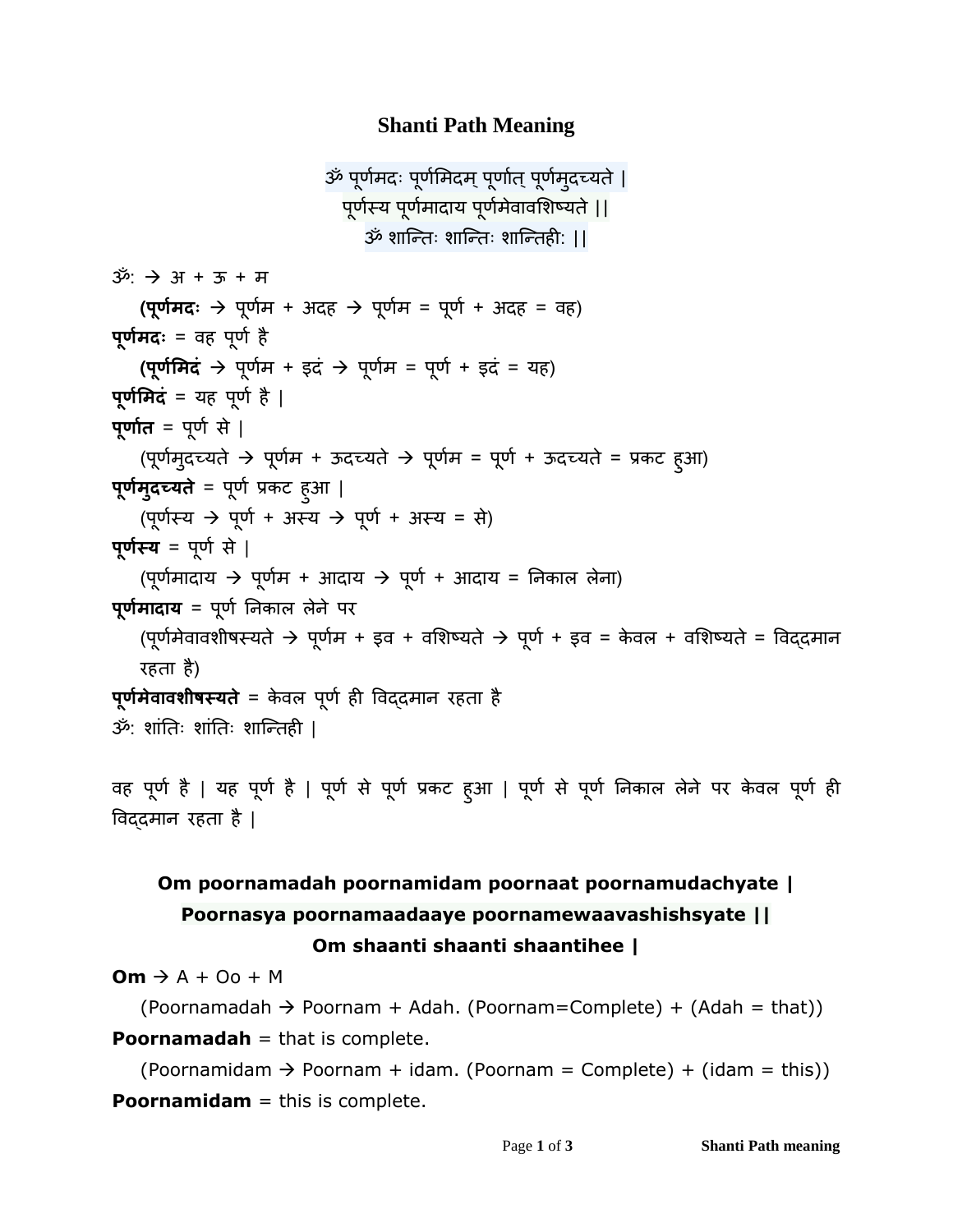### **Shanti Path Meaning**

```
ॐ पूर्मण दः पूर्मणमदम्पूर्णतण ्पूर्मण ुदच्यते|
                              पूर्स्ण य पूर्मण णदणय पूर्मण वे णवमिष्यते||
                                 ॐ िणन्तः िणन्तः िणन्तही: ||
ॐ:  अ + ऊ + म
   (पूर्मण दः  पूर्मण + अदह  पूर्मण = पूर्ण + अदह = वह)
पूर्मण दः = वह पूर्ण है
   (पूर्मणमदं  पूर्मण + इदं  पूर्मण = पूर्ण + इदं = यह)
पूर्मणमदं = यह पूर्ण है |
पूर्णणत = पूर्ण से |
   (पूर्मण ुदच्यते  पूर्मण + ऊदच्यते  पूर्मण = पूर्ण + ऊदच्यते = प्रकट हुआ)
पूर्मण ुदच्यते = पूर्ण प्रकट हुआ |
   (पूर्स्ण य  पूर्ण + अस्य  पूर्ण + अस्य = से)
पूर्स्ण य = पूर्ण से |
   (पूर्मण णदणय  पूर्मण + आदणय  पूर्ण + आदणय = निकणल लेिण)
पूर्मण णदणय = पूर्ण निकणल लेिे पर
   (पूर्मण ेवणविीषस्यते पूर्मण + इव + वमिष्यते पूर्ण + इव = के वल + वमिष्यते = ववद्दमणि
   रहतण है)
पूर्मण ेवणवशीषस्यते = के वल पूर्ण ही ववद्दमणि रहतण है
ॐ: िणंनतः िणंनतः िणन्तही |
```

```
वह पूर्ण है | यह पूर्ण है | पूर्ण से पूर्ण प्रकट हुआ | पूर्ण से पूर्ण निकाल लेने पर केवल पूर्ण ही
ववद्दमणि रहतण है |
```
## **Om poornamadah poornamidam poornaat poornamudachyate | Poornasya poornamaadaaye poornamewaavashishsyate || Om shaanti shaanti shaantihee |**

 $\mathbf{Om} \to \mathbf{A} + \mathbf{O} \mathbf{o} + \mathbf{M}$ 

(Poornamadah  $\rightarrow$  Poornam + Adah. (Poornam=Complete) + (Adah = that)) **Poornamadah** = that is complete.

(Poornamidam  $\rightarrow$  Poornam + idam. (Poornam = Complete) + (idam = this)) **Poornamidam** = this is complete.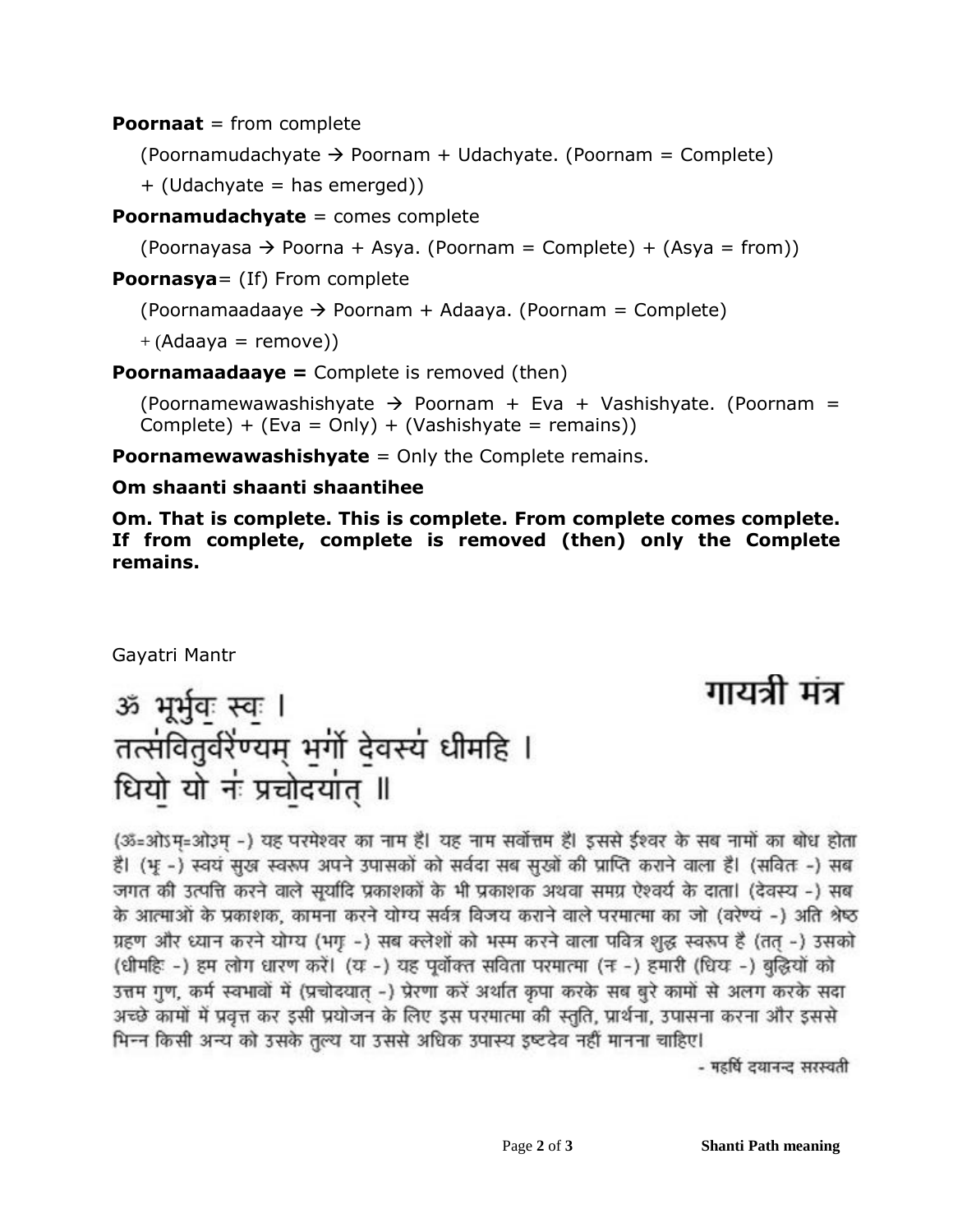**Poornaat** = from complete

(Poornamudachyate  $\rightarrow$  Poornam + Udachyate. (Poornam = Complete)

+ (Udachyate = has emerged))

**Poornamudachyate** = comes complete

 $(Poornayasa \rightarrow Poorna + Asya. (Poorman = Complete) + (Asya = from))$ 

**Poornasya**= (If) From complete

(Poornamaadaaye  $\rightarrow$  Poornam + Adaaya. (Poornam = Complete)

 $+(Adaaya = remove))$ 

**Poornamaadaaye =** Complete is removed (then)

(Poornamewawashishyate  $\rightarrow$  Poornam + Eva + Vashishyate. (Poornam = Complete) + (Eva = Only) + (Vashishyate = remains))

**Poornamewawashishyate** = Only the Complete remains.

**Om shaanti shaanti shaantihee**

**Om. That is complete. This is complete. From complete comes complete. If from complete, complete is removed (then) only the Complete remains.**

Gayatri Mantr

# गायत्री मंत्र

# ॐ भूर्भुवः स्वः । तत्सवितुर्वरेण्यम् भूगो देवस्य धीमहि । धियो यो नं प्रचोदयांत् ॥

(ॐ=ओऽम=ओ३म -) यह परमेश्वर का नाम है। यह नाम सर्वोत्तम है। इससे ईश्वर के सब नामों का बोध होता है। (भू -) स्वयं सुख स्वरूप अपने उपासकों को सर्वदा सब सुखों की प्राप्ति कराने वाला है। (सवितः -) सब जगत की उत्पत्ति करने वाले सुर्यादि प्रकाशकों के भी प्रकाशक अथवा समग्र ऐश्वर्य के दाता। (देवस्य -) सब के आत्माओं के प्रकाशक, कामना करने योग्य सर्वत्र विजय कराने वाले परमात्मा का जो (वरेण्यं -) अति श्रेष्ठ ग्रहण और ध्यान करने योग्य (भगृ -) सब क्लेशों को भस्म करने वाला पवित्र शुद्ध स्वरूप है (तत -) उसको

(धीमहिः -) हम लोग धारण करें। (यः -) यह पूर्वोक्त सविता परमात्मा (नः -) हमारी (धियः -) बुद्धियों को उत्तम गुण, कर्म स्वभावों में (प्रचोदयात -) प्रेरणा करें अर्थात कृपा करके सब बुरे कामों से अलग करके सदा अच्छे कामों में प्रवृत्त कर इसी प्रयोजन के लिए इस परमात्मा की स्तुति, प्रार्थना, उपासना करना और इससे

भिन्न किसी अन्य को उसके तुल्य या उससे अधिक उपास्य इष्टदेव नहीं मानना चाहिए। - महर्षि दयानन्द सरस्वती